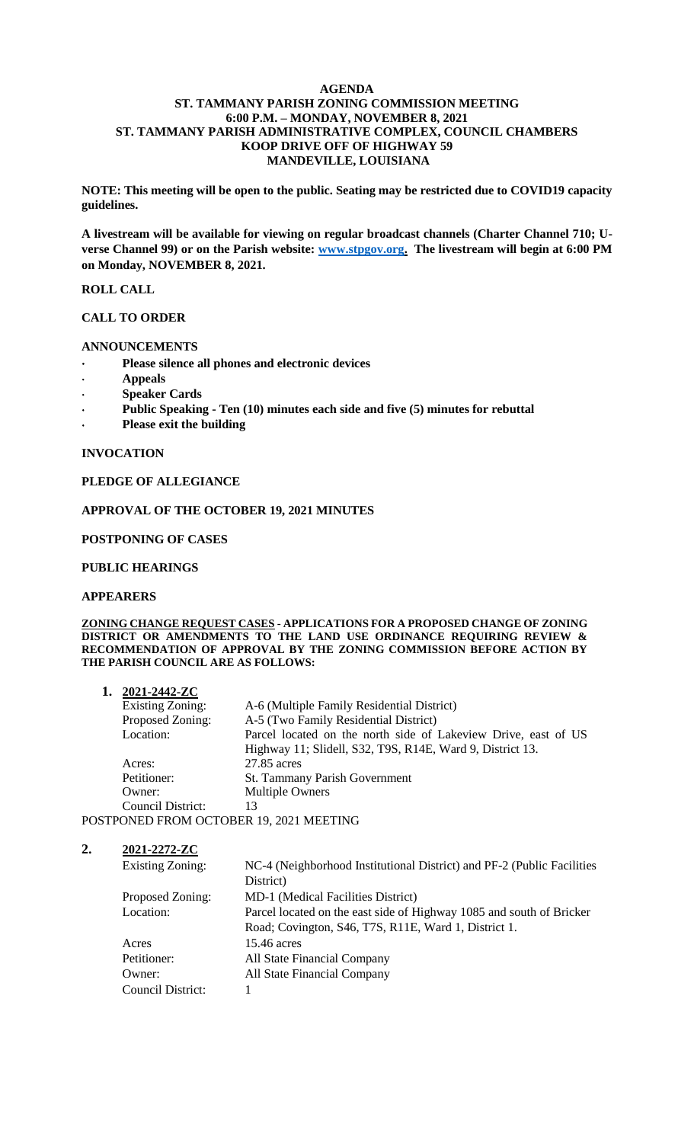#### **AGENDA ST. TAMMANY PARISH ZONING COMMISSION MEETING 6:00 P.M. – MONDAY, NOVEMBER 8, 2021 ST. TAMMANY PARISH ADMINISTRATIVE COMPLEX, COUNCIL CHAMBERS KOOP DRIVE OFF OF HIGHWAY 59 MANDEVILLE, LOUISIANA**

**NOTE: This meeting will be open to the public. Seating may be restricted due to COVID19 capacity guidelines.** 

**A livestream will be available for viewing on regular broadcast channels (Charter Channel 710; Uverse Channel 99) or on the Parish website: [www.stpgov.org.](http://www.stpgov.org/) The livestream will begin at 6:00 PM on Monday, NOVEMBER 8, 2021.** 

#### **ROLL CALL**

# **CALL TO ORDER**

#### **ANNOUNCEMENTS**

- **Please silence all phones and electronic devices**
- **Appeals**
- **Speaker Cards**
- **Public Speaking - Ten (10) minutes each side and five (5) minutes for rebuttal**
- **Please exit the building**

#### **INVOCATION**

## **PLEDGE OF ALLEGIANCE**

## **APPROVAL OF THE OCTOBER 19, 2021 MINUTES**

#### **POSTPONING OF CASES**

#### **PUBLIC HEARINGS**

### **APPEARERS**

#### **ZONING CHANGE REQUEST CASES - APPLICATIONS FOR A PROPOSED CHANGE OF ZONING DISTRICT OR AMENDMENTS TO THE LAND USE ORDINANCE REQUIRING REVIEW & RECOMMENDATION OF APPROVAL BY THE ZONING COMMISSION BEFORE ACTION BY THE PARISH COUNCIL ARE AS FOLLOWS:**

| 2021-2442-ZC |
|--------------|
|              |

| Existing Zoning:                    | A-6 (Multiple Family Residential District)                     |  |  |
|-------------------------------------|----------------------------------------------------------------|--|--|
| Proposed Zoning:                    | A-5 (Two Family Residential District)                          |  |  |
| Location:                           | Parcel located on the north side of Lakeview Drive, east of US |  |  |
|                                     | Highway 11; Slidell, S32, T9S, R14E, Ward 9, District 13.      |  |  |
| Acres:                              | 27.85 acres                                                    |  |  |
| Petitioner:                         | St. Tammany Parish Government                                  |  |  |
| Owner:                              | Multiple Owners                                                |  |  |
| Council District:                   | 13                                                             |  |  |
| OONED EROM OCTODER 10, 2021 MEETING |                                                                |  |  |

POSTPONED FROM OCTOBER 19, 2021 MEETING

#### **2. 2021-2272-ZC**

| <b>Existing Zoning:</b> | NC-4 (Neighborhood Institutional District) and PF-2 (Public Facilities |
|-------------------------|------------------------------------------------------------------------|
|                         | District)                                                              |
| Proposed Zoning:        | MD-1 (Medical Facilities District)                                     |
| Location:               | Parcel located on the east side of Highway 1085 and south of Bricker   |
|                         | Road; Covington, S46, T7S, R11E, Ward 1, District 1.                   |
| Acres                   | 15.46 acres                                                            |
| Petitioner:             | All State Financial Company                                            |
| Owner:                  | All State Financial Company                                            |
| Council District:       |                                                                        |